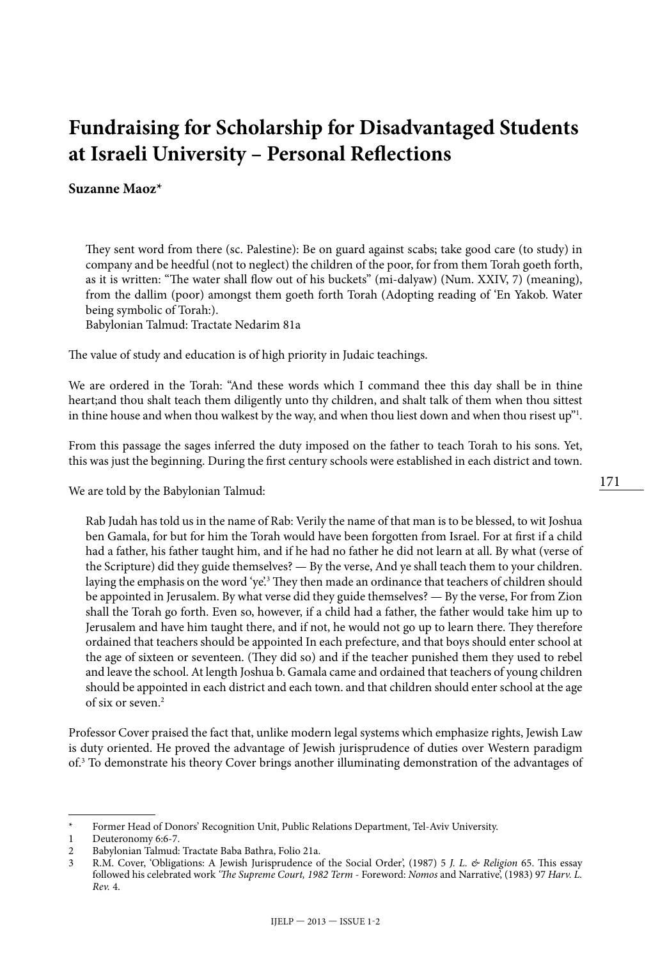## **Fundraising for Scholarship for Disadvantaged Students at Israeli University – Personal Reflections**

**Suzanne Maoz\***

They sent word from there (sc. Palestine): Be on guard against scabs; take good care (to study) in company and be heedful (not to neglect) the children of the poor, for from them Torah goeth forth, as it is written: "The water shall flow out of his buckets" (mi-dalyaw) (Num. XXIV, 7) (meaning), from the dallim (poor) amongst them goeth forth Torah (Adopting reading of 'En Yakob. Water being symbolic of Torah:).

Babylonian Talmud: Tractate Nedarim 81a

The value of study and education is of high priority in Judaic teachings.

We are ordered in the Torah: "And these words which I command thee this day shall be in thine heart;and thou shalt teach them diligently unto thy children, and shalt talk of them when thou sittest in thine house and when thou walkest by the way, and when thou liest down and when thou risest up" $^{\rm n}$ .

From this passage the sages inferred the duty imposed on the father to teach Torah to his sons. Yet, this was just the beginning. During the first century schools were established in each district and town.

We are told by the Babylonian Talmud:

Rab Judah has told us in the name of Rab: Verily the name of that man is to be blessed, to wit Joshua ben Gamala, for but for him the Torah would have been forgotten from Israel. For at first if a child had a father, his father taught him, and if he had no father he did not learn at all. By what (verse of the Scripture) did they guide themselves? — By the verse, And ye shall teach them to your children. laying the emphasis on the word 'ye'.<sup>[3](http://www.come-and-hear.com/bababathra/bababathra_21.html#21a_3)</sup> They then made an ordinance that teachers of children should be appointed in Jerusalem. By what verse did they guide themselves? — By the verse, For from Zion shall the Torah go forth. Even so, however, if a child had a father, the father would take him up to Jerusalem and have him taught there, and if not, he would not go up to learn there. They therefore ordained that teachers should be appointed In each prefecture, and that boys should enter school at the age of sixteen or seventeen. (They did so) and if the teacher punished them they used to rebel and leave the school. At length Joshua b. Gamala came and ordained that teachers of young children should be appointed in each district and each town. and that children should enter school at the age of six or seven.2

Professor Cover praised the fact that, unlike modern legal systems which emphasize rights, Jewish Law is duty oriented. He proved the advantage of Jewish jurisprudence of duties over Western paradigm of.3 To demonstrate his theory Cover brings another illuminating demonstration of the advantages of

<sup>\*</sup> Former Head of Donors' Recognition Unit, Public Relations Department, Tel-Aviv University.

<sup>1</sup> Deuteronomy 6:6-7.<br>2 Babylonian Talmud:

<sup>2</sup> Babylonian Talmud: Tractate Baba Bathra, Folio 21a.

<sup>3</sup> R.M. Cover, 'Obligations: A Jewish Jurisprudence of the Social Order', (1987) 5 *J. L. & Religion* 65. This essay followed his celebrated work *'The Supreme Court, 1982 Term* - Foreword: *Nomos* and Narrative', (1983) 97 *Harv. L. Rev.* 4.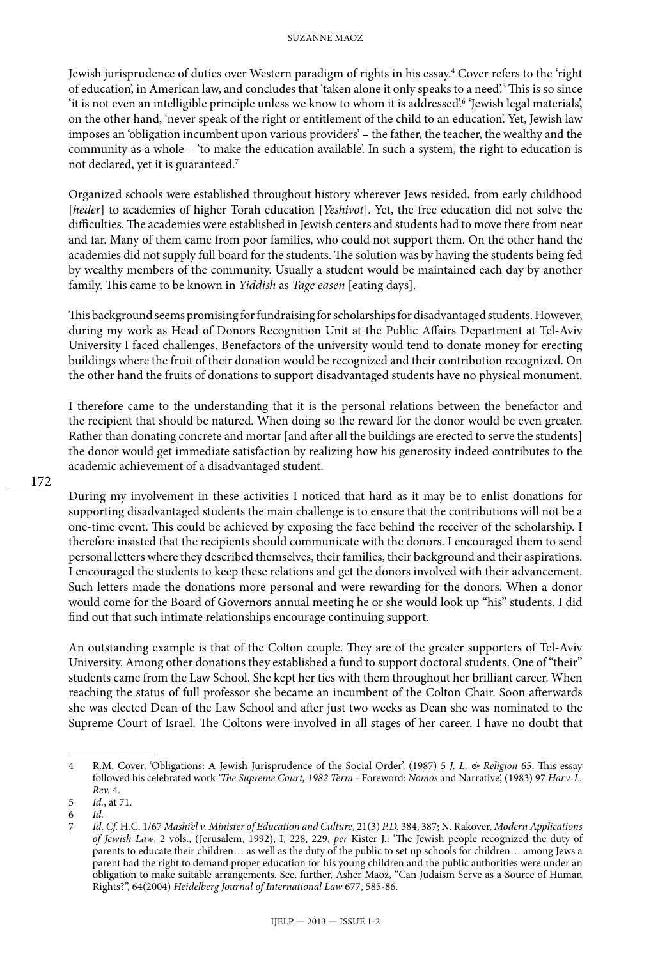Jewish jurisprudence of duties over Western paradigm of rights in his essay.4 Cover refers to the 'right of education', in American law, and concludes that 'taken alone it only speaks to a need'.5 This is so since 'it is not even an intelligible principle unless we know to whom it is addressed'.6 'Jewish legal materials', on the other hand, 'never speak of the right or entitlement of the child to an education'. Yet, Jewish law imposes an 'obligation incumbent upon various providers' – the father, the teacher, the wealthy and the community as a whole – 'to make the education available'. In such a system, the right to education is not declared, yet it is guaranteed.7

Organized schools were established throughout history wherever Jews resided, from early childhood [*heder*] to academies of higher Torah education [*Yeshivot*]. Yet, the free education did not solve the difficulties. The academies were established in Jewish centers and students had to move there from near and far. Many of them came from poor families, who could not support them. On the other hand the academies did not supply full board for the students. The solution was by having the students being fed by wealthy members of the community. Usually a student would be maintained each day by another family. This came to be known in *Yiddish* as *Tage easen* [eating days].

This background seems promising for fundraising for scholarships for disadvantaged students. However, during my work as Head of Donors Recognition Unit at the Public Affairs Department at Tel-Aviv University I faced challenges. Benefactors of the university would tend to donate money for erecting buildings where the fruit of their donation would be recognized and their contribution recognized. On the other hand the fruits of donations to support disadvantaged students have no physical monument.

I therefore came to the understanding that it is the personal relations between the benefactor and the recipient that should be natured. When doing so the reward for the donor would be even greater. Rather than donating concrete and mortar [and after all the buildings are erected to serve the students] the donor would get immediate satisfaction by realizing how his generosity indeed contributes to the academic achievement of a disadvantaged student.

During my involvement in these activities I noticed that hard as it may be to enlist donations for supporting disadvantaged students the main challenge is to ensure that the contributions will not be a one-time event. This could be achieved by exposing the face behind the receiver of the scholarship. I therefore insisted that the recipients should communicate with the donors. I encouraged them to send personal letters where they described themselves, their families, their background and their aspirations. I encouraged the students to keep these relations and get the donors involved with their advancement. Such letters made the donations more personal and were rewarding for the donors. When a donor would come for the Board of Governors annual meeting he or she would look up "his" students. I did find out that such intimate relationships encourage continuing support.

An outstanding example is that of the Colton couple. They are of the greater supporters of Tel-Aviv University. Among other donations they established a fund to support doctoral students. One of "their" students came from the Law School. She kept her ties with them throughout her brilliant career. When reaching the status of full professor she became an incumbent of the Colton Chair. Soon afterwards she was elected Dean of the Law School and after just two weeks as Dean she was nominated to the Supreme Court of Israel. The Coltons were involved in all stages of her career. I have no doubt that

<sup>4</sup> R.M. Cover, 'Obligations: A Jewish Jurisprudence of the Social Order', (1987) 5 *J. L. & Religion* 65. This essay followed his celebrated work *'The Supreme Court, 1982 Term* - Foreword: *Nomos* and Narrative', (1983) 97 *Harv. L. Rev.* 4.

<sup>5</sup> *Id.*, at 71.

<sup>6</sup> *Id.*

<sup>7</sup> *Id*. *Cf.* H.C. 1/67 *Mashi'el v. Minister of Education and Culture*, 21(3) *P.D.* 384, 387; N. Rakover, *Modern Applications of Jewish Law*, 2 vols., (Jerusalem, 1992), I, 228, 229, *per* Kister J.: 'The Jewish people recognized the duty of parents to educate their children… as well as the duty of the public to set up schools for children… among Jews a parent had the right to demand proper education for his young children and the public authorities were under an obligation to make suitable arrangements. See, further, Asher Maoz, "Can Judaism Serve as a Source of Human Rights?", 64(2004) *Heidelberg Journal of International Law* 677, 585-86.